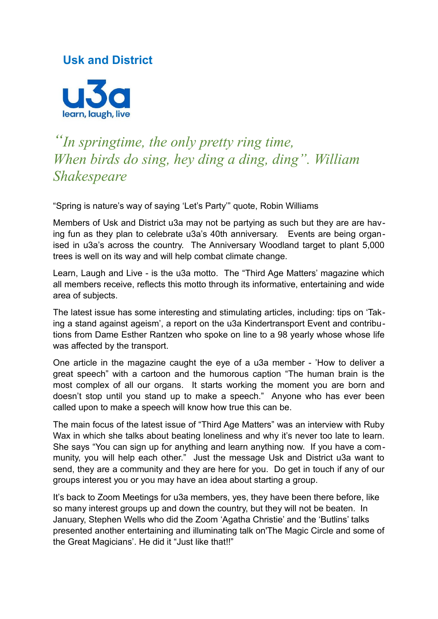## **Usk and District**



## *"In springtime, the only pretty ring time, When birds do sing, hey ding a ding, ding". William Shakespeare*

"Spring is nature's way of saying 'Let's Party'" quote, Robin Williams

Members of Usk and District u3a may not be partying as such but they are are having fun as they plan to celebrate u3a's 40th anniversary. Events are being organised in u3a's across the country. The Anniversary Woodland target to plant 5,000 trees is well on its way and will help combat climate change.

Learn, Laugh and Live - is the u3a motto. The "Third Age Matters' magazine which all members receive, reflects this motto through its informative, entertaining and wide area of subjects.

The latest issue has some interesting and stimulating articles, including: tips on 'Taking a stand against ageism', a report on the u3a Kindertransport Event and contributions from Dame Esther Rantzen who spoke on line to a 98 yearly whose whose life was affected by the transport.

One article in the magazine caught the eye of a u3a member - 'How to deliver a great speech" with a cartoon and the humorous caption "The human brain is the most complex of all our organs. It starts working the moment you are born and doesn't stop until you stand up to make a speech." Anyone who has ever been called upon to make a speech will know how true this can be.

The main focus of the latest issue of "Third Age Matters" was an interview with Ruby Wax in which she talks about beating loneliness and why it's never too late to learn. She says "You can sign up for anything and learn anything now. If you have a community, you will help each other." Just the message Usk and District u3a want to send, they are a community and they are here for you. Do get in touch if any of our groups interest you or you may have an idea about starting a group.

It's back to Zoom Meetings for u3a members, yes, they have been there before, like so many interest groups up and down the country, but they will not be beaten. In January, Stephen Wells who did the Zoom 'Agatha Christie' and the 'Butlins' talks presented another entertaining and illuminating talk on'The Magic Circle and some of the Great Magicians'. He did it "Just like that!!"